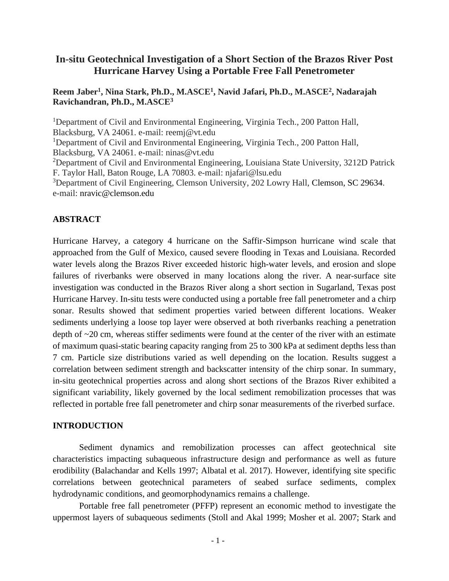# **In-situ Geotechnical Investigation of a Short Section of the Brazos River Post Hurricane Harvey Using a Portable Free Fall Penetrometer**

# **Reem Jaber<sup>1</sup> , Nina Stark, Ph.D., M.ASCE<sup>1</sup> , Navid Jafari, Ph.D., M.ASCE<sup>2</sup> , Nadarajah Ravichandran, Ph.D., M.ASCE<sup>3</sup>**

<sup>1</sup>Department of Civil and Environmental Engineering, Virginia Tech., 200 Patton Hall, Blacksburg, VA 24061. e-mail: reemj@vt.edu <sup>1</sup>Department of Civil and Environmental Engineering, Virginia Tech., 200 Patton Hall, Blacksburg, VA 24061. e-mail: ninas@vt.edu <sup>2</sup>Department of Civil and Environmental Engineering, Louisiana State University, 3212D Patrick F. Taylor Hall, Baton Rouge, LA 70803. e-mail: [njafari@lsu.edu](mailto:njafari@lsu.edu) <sup>3</sup>Department of Civil Engineering, Clemson University, 202 Lowry Hall, [Clemson, SC 29634.](mailto:Clemson,%20SC%2029634) e-mail: [nravic@clemson.edu](mailto:nravic@clemson.edu)

# **ABSTRACT**

Hurricane Harvey, a category 4 hurricane on the Saffir-Simpson hurricane wind scale that approached from the Gulf of Mexico, caused severe flooding in Texas and Louisiana. Recorded water levels along the Brazos River exceeded historic high-water levels, and erosion and slope failures of riverbanks were observed in many locations along the river. A near-surface site investigation was conducted in the Brazos River along a short section in Sugarland, Texas post Hurricane Harvey. In-situ tests were conducted using a portable free fall penetrometer and a chirp sonar. Results showed that sediment properties varied between different locations. Weaker sediments underlying a loose top layer were observed at both riverbanks reaching a penetration depth of ~20 cm, whereas stiffer sediments were found at the center of the river with an estimate of maximum quasi-static bearing capacity ranging from 25 to 300 kPa at sediment depths less than 7 cm. Particle size distributions varied as well depending on the location. Results suggest a correlation between sediment strength and backscatter intensity of the chirp sonar. In summary, in-situ geotechnical properties across and along short sections of the Brazos River exhibited a significant variability, likely governed by the local sediment remobilization processes that was reflected in portable free fall penetrometer and chirp sonar measurements of the riverbed surface.

# **INTRODUCTION**

Sediment dynamics and remobilization processes can affect geotechnical site characteristics impacting subaqueous infrastructure design and performance as well as future erodibility (Balachandar and Kells 1997; Albatal et al. 2017). However, identifying site specific correlations between geotechnical parameters of seabed surface sediments, complex hydrodynamic conditions, and geomorphodynamics remains a challenge.

Portable free fall penetrometer (PFFP) represent an economic method to investigate the uppermost layers of subaqueous sediments (Stoll and Akal 1999; Mosher et al. 2007; Stark and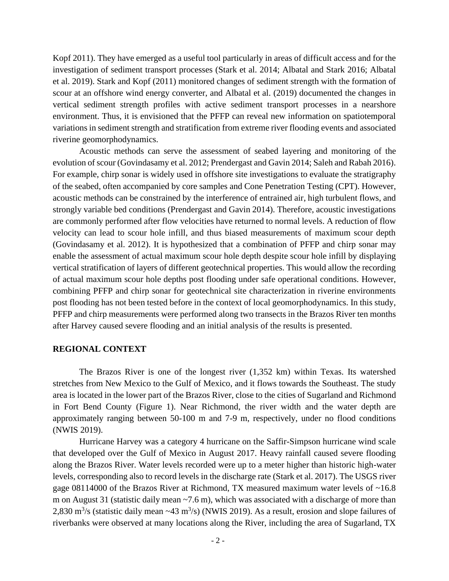Kopf 2011). They have emerged as a useful tool particularly in areas of difficult access and for the investigation of sediment transport processes (Stark et al. 2014; Albatal and Stark 2016; Albatal et al. 2019). Stark and Kopf (2011) monitored changes of sediment strength with the formation of scour at an offshore wind energy converter, and Albatal et al. (2019) documented the changes in vertical sediment strength profiles with active sediment transport processes in a nearshore environment. Thus, it is envisioned that the PFFP can reveal new information on spatiotemporal variations in sediment strength and stratification from extreme river flooding events and associated riverine geomorphodynamics.

Acoustic methods can serve the assessment of seabed layering and monitoring of the evolution of scour (Govindasamy et al. 2012; Prendergast and Gavin 2014; Saleh and Rabah 2016). For example, chirp sonar is widely used in offshore site investigations to evaluate the stratigraphy of the seabed, often accompanied by core samples and Cone Penetration Testing (CPT). However, acoustic methods can be constrained by the interference of entrained air, high turbulent flows, and strongly variable bed conditions (Prendergast and Gavin 2014). Therefore, acoustic investigations are commonly performed after flow velocities have returned to normal levels. A reduction of flow velocity can lead to scour hole infill, and thus biased measurements of maximum scour depth (Govindasamy et al. 2012). It is hypothesized that a combination of PFFP and chirp sonar may enable the assessment of actual maximum scour hole depth despite scour hole infill by displaying vertical stratification of layers of different geotechnical properties. This would allow the recording of actual maximum scour hole depths post flooding under safe operational conditions. However, combining PFFP and chirp sonar for geotechnical site characterization in riverine environments post flooding has not been tested before in the context of local geomorphodynamics. In this study, PFFP and chirp measurements were performed along two transects in the Brazos River ten months after Harvey caused severe flooding and an initial analysis of the results is presented.

#### **REGIONAL CONTEXT**

The Brazos River is one of the longest river (1,352 km) within Texas. Its watershed stretches from New Mexico to the Gulf of Mexico, and it flows towards the Southeast. The study area is located in the lower part of the Brazos River, close to the cities of Sugarland and Richmond in Fort Bend County (Figure 1). Near Richmond, the river width and the water depth are approximately ranging between 50-100 m and 7-9 m, respectively, under no flood conditions (NWIS 2019).

Hurricane Harvey was a category 4 hurricane on the Saffir-Simpson hurricane wind scale that developed over the Gulf of Mexico in August 2017. Heavy rainfall caused severe flooding along the Brazos River. Water levels recorded were up to a meter higher than historic high-water levels, corresponding also to record levels in the discharge rate (Stark et al. 2017). The USGS river gage 08114000 of the Brazos River at Richmond, TX measured maximum water levels of ~16.8 m on August 31 (statistic daily mean ~7.6 m), which was associated with a discharge of more than 2,830 m<sup>3</sup>/s (statistic daily mean  $\sim$  43 m<sup>3</sup>/s) (NWIS 2019). As a result, erosion and slope failures of riverbanks were observed at many locations along the River, including the area of Sugarland, TX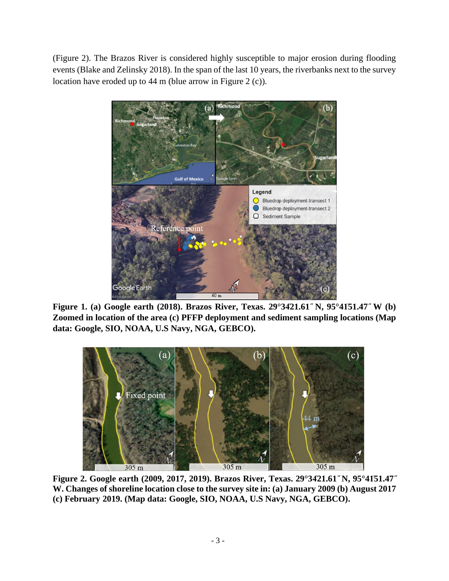(Figure 2). The Brazos River is considered highly susceptible to major erosion during flooding events (Blake and Zelinsky 2018). In the span of the last 10 years, the riverbanks next to the survey location have eroded up to 44 m (blue arrow in Figure 2 (c)).



**Figure 1. (a) Google earth (2018). Brazos River, Texas. 29°3421.61" N, 95°41′51.47" W (b) Zoomed in location of the area (c) PFFP deployment and sediment sampling locations (Map data: Google, SIO, NOAA, U.S Navy, NGA, GEBCO).**



Figure 2. Google earth (2009, 2017, 2019). Brazos River, Texas. 29°3421.61" N, 95°41<sup>'51.47"</sup> **W. Changes of shoreline location close to the survey site in: (a) January 2009 (b) August 2017 (c) February 2019. (Map data: Google, SIO, NOAA, U.S Navy, NGA, GEBCO).**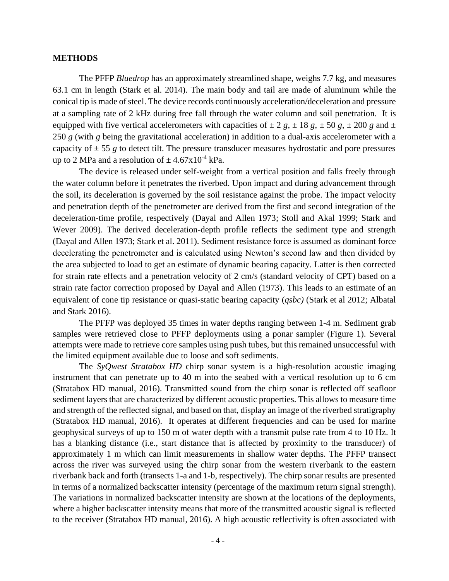#### **METHODS**

The PFFP *Bluedrop* has an approximately streamlined shape, weighs 7.7 kg, and measures 63.1 cm in length (Stark et al. 2014). The main body and tail are made of aluminum while the conical tip is made of steel. The device records continuously acceleration/deceleration and pressure at a sampling rate of 2 kHz during free fall through the water column and soil penetration. It is equipped with five vertical accelerometers with capacities of  $\pm 2$  *g*,  $\pm 18$  *g*,  $\pm 50$  *g*,  $\pm 200$  *g* and  $\pm$ 250 *g* (with *g* being the gravitational acceleration) in addition to a dual-axis accelerometer with a capacity of  $\pm$  55 g to detect tilt. The pressure transducer measures hydrostatic and pore pressures up to 2 MPa and a resolution of  $\pm$  4.67x10<sup>-4</sup> kPa.

The device is released under self-weight from a vertical position and falls freely through the water column before it penetrates the riverbed. Upon impact and during advancement through the soil, its deceleration is governed by the soil resistance against the probe. The impact velocity and penetration depth of the penetrometer are derived from the first and second integration of the deceleration-time profile, respectively (Dayal and Allen 1973; Stoll and Akal 1999; Stark and Wever 2009). The derived deceleration-depth profile reflects the sediment type and strength (Dayal and Allen 1973; Stark et al. 2011). Sediment resistance force is assumed as dominant force decelerating the penetrometer and is calculated using Newton's second law and then divided by the area subjected to load to get an estimate of dynamic bearing capacity. Latter is then corrected for strain rate effects and a penetration velocity of 2 cm/s (standard velocity of CPT) based on a strain rate factor correction proposed by Dayal and Allen (1973). This leads to an estimate of an equivalent of cone tip resistance or quasi-static bearing capacity (*qsbc)* (Stark et al 2012; Albatal and Stark 2016).

The PFFP was deployed 35 times in water depths ranging between 1-4 m. Sediment grab samples were retrieved close to PFFP deployments using a ponar sampler (Figure 1). Several attempts were made to retrieve core samples using push tubes, but this remained unsuccessful with the limited equipment available due to loose and soft sediments.

The *SyQwest Stratabox HD* chirp sonar system is a high-resolution acoustic imaging instrument that can penetrate up to 40 m into the seabed with a vertical resolution up to 6 cm (Stratabox HD manual, 2016). Transmitted sound from the chirp sonar is reflected off seafloor sediment layers that are characterized by different acoustic properties. This allows to measure time and strength of the reflected signal, and based on that, display an image of the riverbed stratigraphy (Stratabox HD manual, 2016). It operates at different frequencies and can be used for marine geophysical surveys of up to 150 m of water depth with a transmit pulse rate from 4 to 10 Hz. It has a blanking distance (i.e., start distance that is affected by proximity to the transducer) of approximately 1 m which can limit measurements in shallow water depths. The PFFP transect across the river was surveyed using the chirp sonar from the western riverbank to the eastern riverbank back and forth (transects 1-a and 1-b, respectively). The chirp sonar results are presented in terms of a normalized backscatter intensity (percentage of the maximum return signal strength). The variations in normalized backscatter intensity are shown at the locations of the deployments, where a higher backscatter intensity means that more of the transmitted acoustic signal is reflected to the receiver (Stratabox HD manual, 2016). A high acoustic reflectivity is often associated with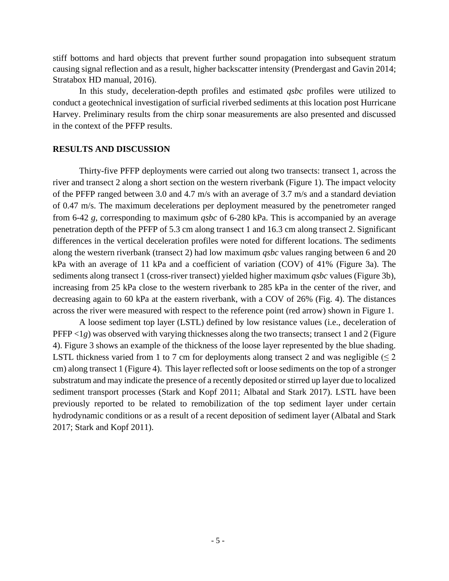stiff bottoms and hard objects that prevent further sound propagation into subsequent stratum causing signal reflection and as a result, higher backscatter intensity (Prendergast and Gavin 2014; Stratabox HD manual, 2016).

In this study, deceleration-depth profiles and estimated *qsbc* profiles were utilized to conduct a geotechnical investigation of surficial riverbed sediments at this location post Hurricane Harvey. Preliminary results from the chirp sonar measurements are also presented and discussed in the context of the PFFP results.

# **RESULTS AND DISCUSSION**

Thirty-five PFFP deployments were carried out along two transects: transect 1, across the river and transect 2 along a short section on the western riverbank (Figure 1). The impact velocity of the PFFP ranged between 3.0 and 4.7 m/s with an average of 3.7 m/s and a standard deviation of 0.47 m/s. The maximum decelerations per deployment measured by the penetrometer ranged from 6-42 *g*, corresponding to maximum *qsbc* of 6-280 kPa. This is accompanied by an average penetration depth of the PFFP of 5.3 cm along transect 1 and 16.3 cm along transect 2. Significant differences in the vertical deceleration profiles were noted for different locations. The sediments along the western riverbank (transect 2) had low maximum *qsbc* values ranging between 6 and 20 kPa with an average of 11 kPa and a coefficient of variation (COV) of 41% (Figure 3a). The sediments along transect 1 (cross-river transect) yielded higher maximum *qsbc* values (Figure 3b), increasing from 25 kPa close to the western riverbank to 285 kPa in the center of the river, and decreasing again to 60 kPa at the eastern riverbank, with a COV of 26% (Fig. 4). The distances across the river were measured with respect to the reference point (red arrow) shown in Figure 1.

A loose sediment top layer (LSTL) defined by low resistance values (i.e., deceleration of PFFP <1*g*) was observed with varying thicknesses along the two transects; transect 1 and 2 (Figure 4). Figure 3 shows an example of the thickness of the loose layer represented by the blue shading. LSTL thickness varied from 1 to 7 cm for deployments along transect 2 and was negligible  $(\leq 2$ cm) along transect 1 (Figure 4). This layer reflected soft or loose sediments on the top of a stronger substratum and may indicate the presence of a recently deposited or stirred up layer due to localized sediment transport processes (Stark and Kopf 2011; Albatal and Stark 2017). LSTL have been previously reported to be related to remobilization of the top sediment layer under certain hydrodynamic conditions or as a result of a recent deposition of sediment layer (Albatal and Stark 2017; Stark and Kopf 2011).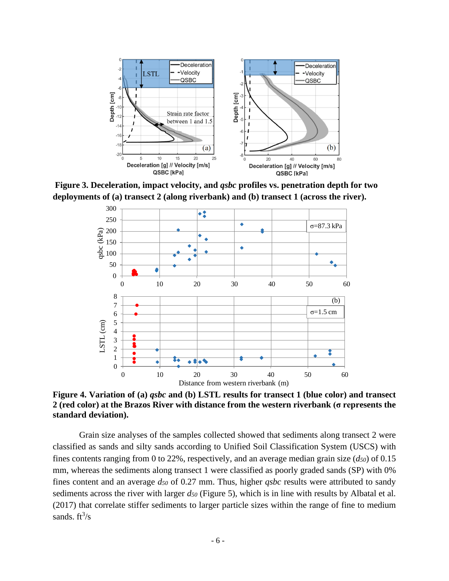

**Figure 3. Deceleration, impact velocity, and** *qsbc* **profiles vs. penetration depth for two deployments of (a) transect 2 (along riverbank) and (b) transect 1 (across the river).** 



**Figure 4. Variation of (a)** *qsbc* **and (b) LSTL results for transect 1 (blue color) and transect 2 (red color) at the Brazos River with distance from the western riverbank (σ represents the standard deviation).**

Grain size analyses of the samples collected showed that sediments along transect 2 were classified as sands and silty sands according to Unified Soil Classification System (USCS) with fines contents ranging from 0 to 22%, respectively, and an average median grain size  $(d_{50})$  of 0.15 mm, whereas the sediments along transect 1 were classified as poorly graded sands (SP) with 0% fines content and an average *d<sup>50</sup>* of 0.27 mm. Thus, higher *qsbc* results were attributed to sandy sediments across the river with larger *d<sup>50</sup>* (Figure 5), which is in line with results by Albatal et al. (2017) that correlate stiffer sediments to larger particle sizes within the range of fine to medium sands.  $ft^3/s$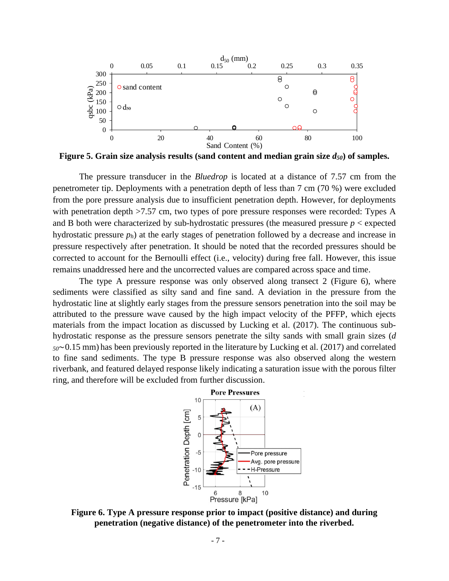

**Figure 5. Grain size analysis results (sand content and median grain size** *d50***) of samples.**

The pressure transducer in the *Bluedrop* is located at a distance of 7.57 cm from the penetrometer tip. Deployments with a penetration depth of less than 7 cm (70 %) were excluded from the pore pressure analysis due to insufficient penetration depth. However, for deployments with penetration depth  $>7.57$  cm, two types of pore pressure responses were recorded: Types A and B both were characterized by sub-hydrostatic pressures (the measured pressure  $p <$  expected hydrostatic pressure *ph*) at the early stages of penetration followed by a decrease and increase in pressure respectively after penetration. It should be noted that the recorded pressures should be corrected to account for the Bernoulli effect (i.e., velocity) during free fall. However, this issue remains unaddressed here and the uncorrected values are compared across space and time.

The type A pressure response was only observed along transect 2 (Figure 6), where sediments were classified as silty sand and fine sand. A deviation in the pressure from the hydrostatic line at slightly early stages from the pressure sensors penetration into the soil may be attributed to the pressure wave caused by the high impact velocity of the PFFP, which ejects materials from the impact location as discussed by Lucking et al. (2017). The continuous subhydrostatic response as the pressure sensors penetrate the silty sands with small grain sizes (*d <sup>50</sup>*∼0.15 mm) has been previously reported in the literature by Lucking et al. (2017) and correlated to fine sand sediments. The type B pressure response was also observed along the western riverbank, and featured delayed response likely indicating a saturation issue with the porous filter ring, and therefore will be excluded from further discussion.



**Figure 6. Type A pressure response prior to impact (positive distance) and during penetration (negative distance) of the penetrometer into the riverbed.**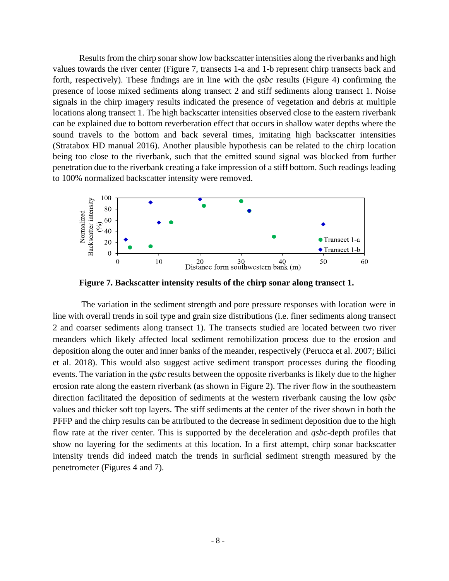Results from the chirp sonar show low backscatter intensities along the riverbanks and high values towards the river center (Figure 7, transects 1-a and 1-b represent chirp transects back and forth, respectively). These findings are in line with the *qsbc* results (Figure 4) confirming the presence of loose mixed sediments along transect 2 and stiff sediments along transect 1. Noise signals in the chirp imagery results indicated the presence of vegetation and debris at multiple locations along transect 1. The high backscatter intensities observed close to the eastern riverbank can be explained due to bottom reverberation effect that occurs in shallow water depths where the sound travels to the bottom and back several times, imitating high backscatter intensities (Stratabox HD manual 2016). Another plausible hypothesis can be related to the chirp location being too close to the riverbank, such that the emitted sound signal was blocked from further penetration due to the riverbank creating a fake impression of a stiff bottom. Such readings leading to 100% normalized backscatter intensity were removed.



**Figure 7. Backscatter intensity results of the chirp sonar along transect 1.**

The variation in the sediment strength and pore pressure responses with location were in line with overall trends in soil type and grain size distributions (i.e. finer sediments along transect 2 and coarser sediments along transect 1). The transects studied are located between two river meanders which likely affected local sediment remobilization process due to the erosion and deposition along the outer and inner banks of the meander, respectively (Perucca et al. 2007; Bilici et al. 2018). This would also suggest active sediment transport processes during the flooding events. The variation in the *qsbc* results between the opposite riverbanks is likely due to the higher erosion rate along the eastern riverbank (as shown in Figure 2). The river flow in the southeastern direction facilitated the deposition of sediments at the western riverbank causing the low *qsbc* values and thicker soft top layers. The stiff sediments at the center of the river shown in both the PFFP and the chirp results can be attributed to the decrease in sediment deposition due to the high flow rate at the river center. This is supported by the deceleration and *qsbc*-depth profiles that show no layering for the sediments at this location. In a first attempt, chirp sonar backscatter intensity trends did indeed match the trends in surficial sediment strength measured by the penetrometer (Figures 4 and 7).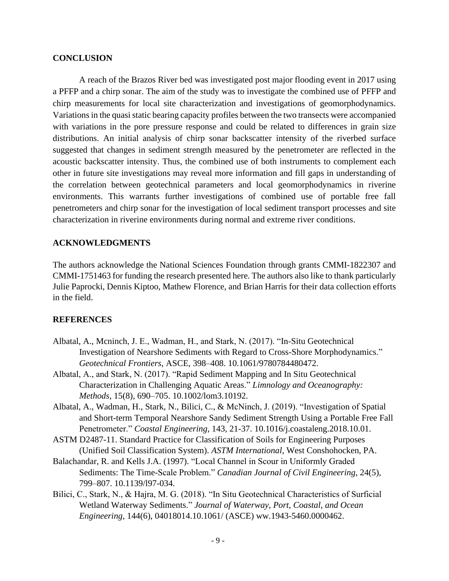### **CONCLUSION**

A reach of the Brazos River bed was investigated post major flooding event in 2017 using a PFFP and a chirp sonar. The aim of the study was to investigate the combined use of PFFP and chirp measurements for local site characterization and investigations of geomorphodynamics. Variations in the quasi static bearing capacity profiles between the two transects were accompanied with variations in the pore pressure response and could be related to differences in grain size distributions. An initial analysis of chirp sonar backscatter intensity of the riverbed surface suggested that changes in sediment strength measured by the penetrometer are reflected in the acoustic backscatter intensity. Thus, the combined use of both instruments to complement each other in future site investigations may reveal more information and fill gaps in understanding of the correlation between geotechnical parameters and local geomorphodynamics in riverine environments. This warrants further investigations of combined use of portable free fall penetrometers and chirp sonar for the investigation of local sediment transport processes and site characterization in riverine environments during normal and extreme river conditions.

# **ACKNOWLEDGMENTS**

The authors acknowledge the National Sciences Foundation through grants CMMI-1822307 and CMMI-1751463 for funding the research presented here. The authors also like to thank particularly Julie Paprocki, Dennis Kiptoo, Mathew Florence, and Brian Harris for their data collection efforts in the field.

# **REFERENCES**

- Albatal, A., Mcninch, J. E., Wadman, H., and Stark, N. (2017). "In-Situ Geotechnical Investigation of Nearshore Sediments with Regard to Cross-Shore Morphodynamics." *Geotechnical Frontiers*, ASCE, 398–408. 10.1061/9780784480472.
- Albatal, A., and Stark, N. (2017). "Rapid Sediment Mapping and In Situ Geotechnical Characterization in Challenging Aquatic Areas." *Limnology and Oceanography: Methods*, 15(8), 690–705. 10.1002/lom3.10192.
- Albatal, A., Wadman, H., Stark, N., Bilici, C., & McNinch, J. (2019). "Investigation of Spatial and Short-term Temporal Nearshore Sandy Sediment Strength Using a Portable Free Fall Penetrometer." *Coastal Engineering*, 143, 21-37. 10.1016/j.coastaleng.2018.10.01.
- ASTM D2487-11. Standard Practice for Classification of Soils for Engineering Purposes (Unified Soil Classification System). *ASTM International*, West Conshohocken, PA.
- Balachandar, R. and Kells J.A. (1997). "Local Channel in Scour in Uniformly Graded Sediments: The Time-Scale Problem." *Canadian Journal of Civil Engineering*, 24(5), 799–807. 10.1139/l97-034.
- Bilici, C., Stark, N., & Hajra, M. G. (2018). "In Situ Geotechnical Characteristics of Surficial Wetland Waterway Sediments." *Journal of Waterway, Port, Coastal, and Ocean Engineering*, 144(6), 04018014.10.1061/ (ASCE) ww.1943-5460.0000462.